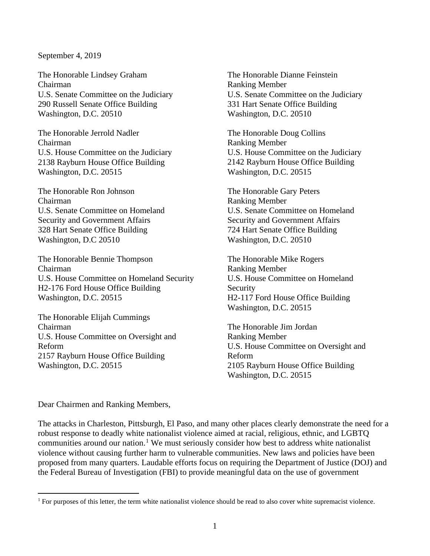## September 4, 2019

The Honorable Lindsey Graham Chairman U.S. Senate Committee on the Judiciary 290 Russell Senate Office Building Washington, D.C. 20510

The Honorable Jerrold Nadler Chairman U.S. House Committee on the Judiciary 2138 Rayburn House Office Building Washington, D.C. 20515

The Honorable Ron Johnson Chairman U.S. Senate Committee on Homeland Security and Government Affairs 328 Hart Senate Office Building Washington, D.C 20510

The Honorable Bennie Thompson Chairman U.S. House Committee on Homeland Security H2-176 Ford House Office Building Washington, D.C. 20515

The Honorable Elijah Cummings Chairman U.S. House Committee on Oversight and Reform 2157 Rayburn House Office Building Washington, D.C. 20515

The Honorable Dianne Feinstein Ranking Member U.S. Senate Committee on the Judiciary 331 Hart Senate Office Building Washington, D.C. 20510

The Honorable Doug Collins Ranking Member U.S. House Committee on the Judiciary 2142 Rayburn House Office Building Washington, D.C. 20515

The Honorable Gary Peters Ranking Member U.S. Senate Committee on Homeland Security and Government Affairs 724 Hart Senate Office Building Washington, D.C. 20510

The Honorable Mike Rogers Ranking Member U.S. House Committee on Homeland Security H2-117 Ford House Office Building Washington, D.C. 20515

The Honorable Jim Jordan Ranking Member U.S. House Committee on Oversight and Reform 2105 Rayburn House Office Building Washington, D.C. 20515

Dear Chairmen and Ranking Members,

The attacks in Charleston, Pittsburgh, El Paso, and many other places clearly demonstrate the need for a robust response to deadly white nationalist violence aimed at racial, religious, ethnic, and LGBTQ communities around our nation.<sup>[1](#page-0-0)</sup> We must seriously consider how best to address white nationalist violence without causing further harm to vulnerable communities. New laws and policies have been proposed from many quarters. Laudable efforts focus on requiring the Department of Justice (DOJ) and the Federal Bureau of Investigation (FBI) to provide meaningful data on the use of government

<span id="page-0-0"></span><sup>&</sup>lt;sup>1</sup> For purposes of this letter, the term white nationalist violence should be read to also cover white supremacist violence.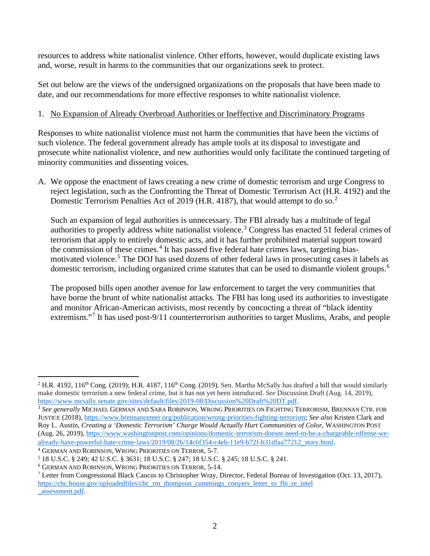resources to address white nationalist violence. Other efforts, however, would duplicate existing laws and, worse, result in harms to the communities that our organizations seek to protect.

Set out below are the views of the undersigned organizations on the proposals that have been made to date, and our recommendations for more effective responses to white nationalist violence.

## 1. No Expansion of Already Overbroad Authorities or Ineffective and Discriminatory Programs

Responses to white nationalist violence must not harm the communities that have been the victims of such violence. The federal government already has ample tools at its disposal to investigate and prosecute white nationalist violence, and new authorities would only facilitate the continued targeting of minority communities and dissenting voices.

A. We oppose the enactment of laws creating a new crime of domestic terrorism and urge Congress to reject legislation, such as the Confronting the Threat of Domestic Terrorism Act (H.R. 4192) and the Domestic Terrorism Penalties Act of [2](#page-1-0)019 (H.R. 4187), that would attempt to do so.<sup>2</sup>

Such an expansion of legal authorities is unnecessary. The FBI already has a multitude of legal authorities to properly address white nationalist violence.[3](#page-1-1) Congress has enacted 51 federal crimes of terrorism that apply to entirely domestic acts, and it has further prohibited material support toward the commission of these crimes. $4$  It has passed five federal hate crimes laws, targeting biasmotivated violence. [5](#page-1-3) The DOJ has used dozens of other federal laws in prosecuting cases it labels as domestic terrorism, including organized crime statutes that can be used to dismantle violent groups.[6](#page-1-4)

The proposed bills open another avenue for law enforcement to target the very communities that have borne the brunt of white nationalist attacks. The FBI has long used its authorities to investigate and monitor African-American activists, most recently by concocting a threat of "black identity extremism."<sup>[7](#page-1-5)</sup> It has used post-9/11 counterterrorism authorities to target Muslims, Arabs, and people

<span id="page-1-0"></span><sup>&</sup>lt;sup>2</sup> H.R. 4192, 116<sup>th</sup> Cong. (2019); H.R. 4187, 116<sup>th</sup> Cong. (2019). Sen. Martha McSally has drafted a bill that would similarly make domestic terrorism a new federal crime, but it has not yet been introduced. *See* Discussion Draft (Aug. 14, 2019), [https://www.mcsally.senate.gov/sites/default/files/2019-08/Discussion%20Draft%20DT.pdf.](https://www.mcsally.senate.gov/sites/default/files/2019-08/Discussion%20Draft%20DT.pdf)

<span id="page-1-1"></span><sup>3</sup> *See generally* MICHAEL GERMAN AND SARA ROBINSON, WRONG PRIORITIES ON FIGHTING TERRORISM, BRENNAN CTR. FOR JUSTICE (2018), [https://www.brennancenter.org/publication/wrong-priorities-fighting-terrorism;](https://www.brennancenter.org/publication/wrong-priorities-fighting-terrorism) *See also* Kristen Clark and Roy L. Austin, *Creating a 'Domestic Terrorism' Charge Would Actually Hurt Communities of Color*, WASHINGTON POST (Aug. 26, 2019), [https://www.washingtonpost.com/opinions/domestic-terrorism-doesnt-need-to-be-a-chargeable-offense-we](https://www.washingtonpost.com/opinions/domestic-terrorism-doesnt-need-to-be-a-chargeable-offense-we-already-have-powerful-hate-crime-laws/2019/08/26/14c6f354-c4eb-11e9-b72f-b31dfaa77212_story.html)[already-have-powerful-hate-crime-laws/2019/08/26/14c6f354-c4eb-11e9-b72f-b31dfaa77212\\_story.html](https://www.washingtonpost.com/opinions/domestic-terrorism-doesnt-need-to-be-a-chargeable-offense-we-already-have-powerful-hate-crime-laws/2019/08/26/14c6f354-c4eb-11e9-b72f-b31dfaa77212_story.html).

<span id="page-1-2"></span><sup>4</sup> GERMAN AND ROBINSON, WRONG PRIORITIES ON TERROR, 5-7.

<span id="page-1-3"></span><sup>5</sup> 18 U.S.C. § 249; 42 U.S.C. § 3631; 18 U.S.C. § 247; 18 U.S.C. § 245; 18 U.S.C. § 241.

<span id="page-1-4"></span><sup>6</sup> GERMAN AND ROBINSON, WRONG PRIORITIES ON TERROR, 5-14*.*

<span id="page-1-5"></span><sup>7</sup> Letter from Congressional Black Caucus to Christopher Wray, Director, Federal Bureau of Investigation (Oct. 13, 2017), [https://cbc.house.gov/uploadedfiles/cbc\\_rm\\_thompson\\_cummings\\_conyers\\_letter\\_to\\_fbi\\_re\\_intel](https://cbc.house.gov/uploadedfiles/cbc_rm_thompson_cummings_conyers_letter_to_fbi_re_intel_assessment.pdf) [\\_assessment.pdf.](https://cbc.house.gov/uploadedfiles/cbc_rm_thompson_cummings_conyers_letter_to_fbi_re_intel_assessment.pdf)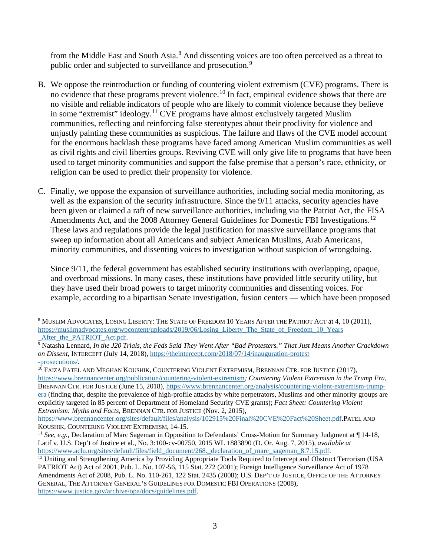from the Middle East and South Asia.<sup>[8](#page-2-0)</sup> And dissenting voices are too often perceived as a threat to public order and subjected to surveillance and prosecution.<sup>[9](#page-2-1)</sup>

- B. We oppose the reintroduction or funding of countering violent extremism (CVE) programs. There is no evidence that these programs prevent violence.<sup>[10](#page-2-2)</sup> In fact, empirical evidence shows that there are no visible and reliable indicators of people who are likely to commit violence because they believe in some "extremist" ideology.<sup>[11](#page-2-3)</sup> CVE programs have almost exclusively targeted Muslim communities, reflecting and reinforcing false stereotypes about their proclivity for violence and unjustly painting these communities as suspicious. The failure and flaws of the CVE model account for the enormous backlash these programs have faced among American Muslim communities as well as civil rights and civil liberties groups. Reviving CVE will only give life to programs that have been used to target minority communities and support the false premise that a person's race, ethnicity, or religion can be used to predict their propensity for violence.
- C. Finally, we oppose the expansion of surveillance authorities, including social media monitoring, as well as the expansion of the security infrastructure. Since the 9/11 attacks, security agencies have been given or claimed a raft of new surveillance authorities, including via the Patriot Act, the FISA Amendments Act, and the 2008 Attorney General Guidelines for Domestic FBI Investigations.<sup>[12](#page-2-4)</sup> These laws and regulations provide the legal justification for massive surveillance programs that sweep up information about all Americans and subject American Muslims, Arab Americans, minority communities, and dissenting voices to investigation without suspicion of wrongdoing.

Since 9/11, the federal government has established security institutions with overlapping, opaque, and overbroad missions. In many cases, these institutions have provided little security utility, but they have used their broad powers to target minority communities and dissenting voices. For example, according to a bipartisan Senate investigation, fusion centers — which have been proposed

<span id="page-2-0"></span><sup>8</sup> MUSLIM ADVOCATES, LOSING LIBERTY: THE STATE OF FREEDOM 10 YEARS AFTER THE PATRIOT ACT at 4, 10 (2011), [https://muslimadvocates.org/wpcontent/uploads/2019/06/Losing\\_Liberty\\_The\\_State\\_of\\_Freedom\\_10\\_Years](https://muslimadvocates.org/wpcontent/uploads/2019/06/Losing_Liberty_The_State_of_Freedom_10_Years_After_the_PATRIOT_Act.pdf)<br>After the PATRIOT Act.ndf. After the PATRIOT Act.pdf.

<span id="page-2-1"></span><sup>9</sup> Natasha Lennard, *In the J20 Trials, the Feds Said They Went After "Bad Protesters." That Just Means Another Crackdown on Dissent*, INTERCEPT (July 14, 2018)[, https://theintercept.com/2018/07/14/inauguration-protest](https://theintercept.com/2018/07/14/inauguration-protest-prosecutions/) [-prosecutions/.](https://theintercept.com/2018/07/14/inauguration-protest-prosecutions/)

<span id="page-2-2"></span><sup>&</sup>lt;sup>10</sup> FAIZA PATEL AND MEGHAN KOUSHIK, COUNTERING VIOLENT EXTREMISM, BRENNAN CTR. FOR JUSTICE (2017), <https://www.brennancenter.org/publication/countering-violent-extremism>*; Countering Violent Extremism in the Trump Era,*  BRENNAN CTR. FOR JUSTICE (June 15, 2018), [https://www.brennancenter.org/analysis/countering-violent-extremism-trump](https://www.brennancenter.org/analysis/countering-violent-extremism-trump-era)[era](https://www.brennancenter.org/analysis/countering-violent-extremism-trump-era) (finding that, despite the prevalence of high-profile attacks by white perpetrators, Muslims and other minority groups are explicitly targeted in 85 percent of Department of Homeland Security CVE grants); *Fact Sheet: Countering Violent Extremism: Myths and Facts*, BRENNAN CTR. FOR JUSTICE (Nov. 2, 2015),

[https://www.brennancenter.org/sites/default/files/analysis/102915%20Final%20CVE%20Fact%20Sheet.pdf.](https://www.brennancenter.org/sites/default/files/analysis/102915%20Final%20CVE%20Fact%20Sheet.pdf)PATEL AND KOUSHIK, COUNTERING VIOLENT EXTREMISM, 14-15.

<span id="page-2-3"></span><sup>&</sup>lt;sup>11</sup> *See, e.g.*, Declaration of Marc Sageman in Opposition to Defendants' Cross-Motion for Summary Judgment at ¶ 14-18, Latif v. U.S. Dep't of Justice et al., No. 3:100-cv-00750, 2015 WL 1883890 (D. Or. Aug. 7, 2015), *available at*

<span id="page-2-4"></span>[https://www.aclu.org/sites/default/files/field\\_document/268.\\_declaration\\_of\\_marc\\_sageman\\_8.7.15.pdf.](https://www.aclu.org/sites/default/files/field_document/268._declaration_of_marc_sageman_8.7.15.pdf) 12 Uniting and Strengthening America by Providing Appropriate Tools Required to Intercept and Obstruct Terrorism (USA PATRIOT Act) Act of 2001, Pub. L. No. 107-56, 115 Stat. 272 (2001); Foreign Intelligence Surveillance Act of 1978 Amendments Act of 2008, Pub. L. No. 110-261, 122 Stat. 2435 (2008); U.S. DEP'T OF JUSTICE, OFFICE OF THE ATTORNEY GENERAL, THE ATTORNEY GENERAL'S GUIDELINES FOR DOMESTIC FBI OPERATIONS (2008), [https://www.justice.gov/archive/opa/docs/guidelines.pdf.](https://www.justice.gov/archive/opa/docs/guidelines.pdf)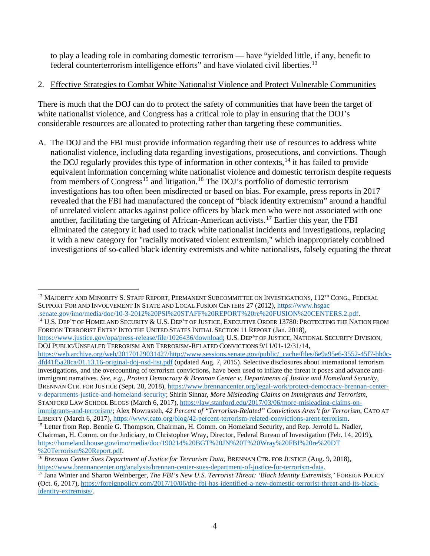to play a leading role in combating domestic terrorism — have "yielded little, if any, benefit to federal counterterrorism intelligence efforts" and have violated civil liberties.<sup>[13](#page-3-0)</sup>

## 2. Effective Strategies to Combat White Nationalist Violence and Protect Vulnerable Communities

There is much that the DOJ can do to protect the safety of communities that have been the target of white nationalist violence, and Congress has a critical role to play in ensuring that the DOJ's considerable resources are allocated to protecting rather than targeting these communities.

A. The DOJ and the FBI must provide information regarding their use of resources to address white nationalist violence, including data regarding investigations, prosecutions, and convictions. Though the DOJ regularly provides this type of information in other contexts,<sup>[14](#page-3-1)</sup> it has failed to provide equivalent information concerning white nationalist violence and domestic terrorism despite requests from members of Congress<sup>[15](#page-3-2)</sup> and litigation.<sup>[16](#page-3-3)</sup> The DOJ's portfolio of domestic terrorism investigations has too often been misdirected or based on bias. For example, press reports in 2017 revealed that the FBI had manufactured the concept of "black identity extremism" around a handful of unrelated violent attacks against police officers by black men who were not associated with one another, facilitating the targeting of African-American activists.[17](#page-3-4) Earlier this year, the FBI eliminated the category it had used to track white nationalist incidents and investigations, replacing it with a new category for "racially motivated violent extremism," which inappropriately combined investigations of so-called black identity extremists and white nationalists, falsely equating the threat

[https://web.archive.org/web/20170129031427/http://www.sessions.senate.gov/public/\\_cache/files/6e9a95e6-3552-45f7-bb0c-](https://web.archive.org/web/20170129031427/http:/www.sessions.senate.gov/public/_cache/files/6e9a95e6-3552-45f7-bb0c-4fd41f5a28ca/01.13.16-original-doj-nsd-list.pdf)[4fd41f5a28ca/01.13.16-original-doj-nsd-list.pdf](https://web.archive.org/web/20170129031427/http:/www.sessions.senate.gov/public/_cache/files/6e9a95e6-3552-45f7-bb0c-4fd41f5a28ca/01.13.16-original-doj-nsd-list.pdf) (updated Aug. 7, 2015). Selective disclosures about international terrorism investigations, and the overcounting of terrorism convictions, have been used to inflate the threat it poses and advance antiimmigrant narratives. *See, e.g., Protect Democracy & Brennan Center v. Departments of Justice and Homeland Security,*  BRENNAN CTR. FOR JUSTICE (Sept. 28, 2018), [https://www.brennancenter.org/legal-work/protect-democracy-brennan-center](https://www.brennancenter.org/legal-work/protect-democracy-brennan-center-v-departments-justice-and-homeland-security)[v-departments-justice-and-homeland-security;](https://www.brennancenter.org/legal-work/protect-democracy-brennan-center-v-departments-justice-and-homeland-security) Shirin Sinnar, *More Misleading Claims on Immigrants and Terrorism*, STANFORD LAW SCHOOL BLOGS (March 6, 2017), [https://law.stanford.edu/2017/03/06/more-misleading-claims-on](https://law.stanford.edu/2017/03/06/more-misleading-claims-on-immigrants-and-terrorism/)[immigrants-and-terrorism/;](https://law.stanford.edu/2017/03/06/more-misleading-claims-on-immigrants-and-terrorism/) Alex Nowrasteh, *42 Percent of "Terrorism-Related" Convictions Aren't for Terrorism*, CATO AT

LIBERTY (March 6, 2017), [https://www.cato.org/blog/42-percent-terrorism-related-convictions-arent-terrorism.](https://www.cato.org/blog/42-percent-terrorism-related-convictions-arent-terrorism)<br><sup>15</sup> Letter from Rep. Bennie G. Thompson, Chairman, H. Comm. on Homeland Security, and Rep. Jerrold L. Nadler,

<span id="page-3-0"></span><sup>&</sup>lt;sup>13</sup> MAJORITY AND MINORITY S. STAFF REPORT, PERMANENT SUBCOMMITTEE ON INVESTIGATIONS, 112<sup>TH</sup> CONG., FEDERAL SUPPORT FOR AND INVOLVEMENT IN STATE AND LOCAL FUSION CENTERS 27 (2012), [https://www.hsgac](https://www.hsgac.senate.gov/imo/media/doc/10-3-2012%20PSI%20STAFF%20REPORT%20re%20FUSION%20CENTERS.2.pdf)

<span id="page-3-1"></span>[<sup>.</sup>senate.gov/imo/media/doc/10-3-2012%20PSI%20STAFF%20REPORT%20re%20FUSION%20CENTERS.2.pdf.](https://www.hsgac.senate.gov/imo/media/doc/10-3-2012%20PSI%20STAFF%20REPORT%20re%20FUSION%20CENTERS.2.pdf)<br><sup>14</sup> U.S. Dep't of Homeland Security & U.S. Dep't of Justice, Executive Order 13780: Protecting the Nation from FOREIGN TERRORIST ENTRY INTO THE UNITED STATES INITIAL SECTION 11 REPORT (Jan. 2018),

[https://www.justice.gov/opa/press-release/file/1026436/download;](https://www.justice.gov/opa/press-release/file/1026436/download) U.S. DEP'T OF JUSTICE, NATIONAL SECURITY DIVISION, DOJ PUBLIC/UNSEALED TERRORISM AND TERRORISM-RELATED CONVICTIONS 9/11/01-12/31/14,

<span id="page-3-2"></span>Chairman, H. Comm. on the Judiciary, to Christopher Wray, Director, Federal Bureau of Investigation (Feb. 14, 2019), [https://homeland.house.gov/imo/media/doc/190214%20BGT%20JN%20T%20Wray%20FBI%20re%20DT](https://homeland.house.gov/imo/media/doc/190214%20BGT%20JN%20T%20Wray%20FBI%20re%20DT%20Terrorism%20Report.pdf) [%20Terrorism%20Report.pdf.](https://homeland.house.gov/imo/media/doc/190214%20BGT%20JN%20T%20Wray%20FBI%20re%20DT%20Terrorism%20Report.pdf)

<span id="page-3-3"></span><sup>&</sup>lt;sup>16</sup> Brennan Center Sues Department of Justice for Terrorism Data, BRENNAN CTR. FOR JUSTICE (Aug. 9, 2018), [https://www.brennancenter.org/analysis/brennan-center-sues-department-of-justice-for-terrorism-data.](https://www.brennancenter.org/analysis/brennan-center-sues-department-of-justice-for-terrorism-data)

<span id="page-3-4"></span><sup>&</sup>lt;sup>17</sup> Jana Winter and Sharon Weinberger, *The FBI's New U.S. Terrorist Threat: 'Black Identity Extremists,'* FOREIGN POLICY (Oct. 6, 2017), [https://foreignpolicy.com/2017/10/06/the-fbi-has-identified-a-new-domestic-terrorist-threat-and-its-black](https://foreignpolicy.com/2017/10/06/the-fbi-has-identified-a-new-domestic-terrorist-threat-and-its-black-identity-extremists/)[identity-extremists/.](https://foreignpolicy.com/2017/10/06/the-fbi-has-identified-a-new-domestic-terrorist-threat-and-its-black-identity-extremists/)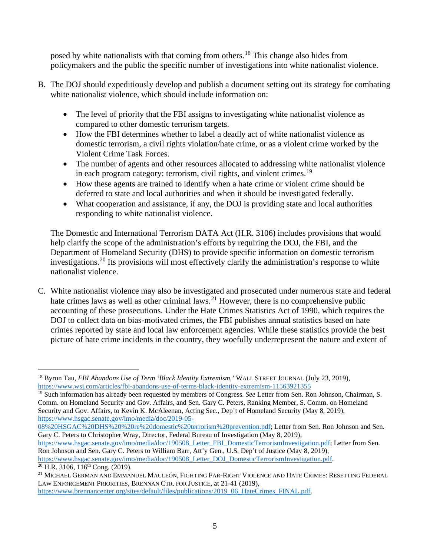posed by white nationalists with that coming from others.<sup>[18](#page-4-0)</sup> This change also hides from policymakers and the public the specific number of investigations into white nationalist violence.

- B. The DOJ should expeditiously develop and publish a document setting out its strategy for combating white nationalist violence, which should include information on:
	- The level of priority that the FBI assigns to investigating white nationalist violence as compared to other domestic terrorism targets.
	- How the FBI determines whether to label a deadly act of white nationalist violence as domestic terrorism, a civil rights violation/hate crime, or as a violent crime worked by the Violent Crime Task Forces.
	- The number of agents and other resources allocated to addressing white nationalist violence in each program category: terrorism, civil rights, and violent crimes.<sup>[19](#page-4-1)</sup>
	- How these agents are trained to identify when a hate crime or violent crime should be deferred to state and local authorities and when it should be investigated federally.
	- What cooperation and assistance, if any, the DOJ is providing state and local authorities responding to white nationalist violence.

The Domestic and International Terrorism DATA Act (H.R. 3106) includes provisions that would help clarify the scope of the administration's efforts by requiring the DOJ, the FBI, and the Department of Homeland Security (DHS) to provide specific information on domestic terrorism investigations. [20](#page-4-2) Its provisions will most effectively clarify the administration's response to white nationalist violence.

C. White nationalist violence may also be investigated and prosecuted under numerous state and federal hate crimes laws as well as other criminal laws.<sup>[21](#page-4-3)</sup> However, there is no comprehensive public accounting of these prosecutions. Under the Hate Crimes Statistics Act of 1990, which requires the DOJ to collect data on bias-motivated crimes, the FBI publishes annual statistics based on hate crimes reported by state and local law enforcement agencies. While these statistics provide the best picture of hate crime incidents in the country, they woefully underrepresent the nature and extent of

[https://www.hsgac.senate.gov/imo/media/doc/190508\\_Letter\\_FBI\\_DomesticTerrorismInvestigation.pdf;](https://www.hsgac.senate.gov/imo/media/doc/190508_Letter_FBI_DomesticTerrorismInvestigation.pdf) Letter from Sen. Ron Johnson and Sen. Gary C. Peters to William Barr, Att'y Gen., U.S. Dep't of Justice (May 8, 2019), [https://www.hsgac.senate.gov/imo/media/doc/190508\\_Letter\\_DOJ\\_DomesticTerrorismInvestigation.pdf.](https://www.hsgac.senate.gov/imo/media/doc/190508_Letter_DOJ_DomesticTerrorismInvestigation.pdf)

<span id="page-4-2"></span> $20$  H.R. 3106, 116<sup>th</sup> Cong. (2019).

<span id="page-4-0"></span><sup>18</sup> Byron Tau, *FBI Abandons Use of Term 'Black Identity Extremism,'* WALL STREET JOURNAL (July 23, 2019), <https://www.wsj.com/articles/fbi-abandons-use-of-terms-black-identity-extremism-11563921355>

<span id="page-4-1"></span><sup>19</sup> Such information has already been requested by members of Congress. *See* Letter from Sen. Ron Johnson, Chairman, S. Comm. on Homeland Security and Gov. Affairs, and Sen. Gary C. Peters, Ranking Member, S. Comm. on Homeland Security and Gov. Affairs, to Kevin K. McAleenan, Acting Sec., Dep't of Homeland Security (May 8, 2019), [https://www.hsgac.senate.gov/imo/media/doc/2019-05-](https://www.hsgac.senate.gov/imo/media/doc/2019-05-08%20HSGAC%20DHS%20%20re%20domestic%20terrorism%20prevention.pdf)

[<sup>08%20</sup>HSGAC%20DHS%20%20re%20domestic%20terrorism%20prevention.pdf;](https://www.hsgac.senate.gov/imo/media/doc/2019-05-08%20HSGAC%20DHS%20%20re%20domestic%20terrorism%20prevention.pdf) Letter from Sen. Ron Johnson and Sen. Gary C. Peters to Christopher Wray, Director, Federal Bureau of Investigation (May 8, 2019),

<span id="page-4-3"></span><sup>21</sup> MICHAEL GERMAN AND EMMANUEL MAULEÓN, FIGHTING FAR-RIGHT VIOLENCE AND HATE CRIMES: RESETTING FEDERAL LAW ENFORCEMENT PRIORITIES, BRENNAN CTR. FOR JUSTICE, at 21-41 (2019), [https://www.brennancenter.org/sites/default/files/publications/2019\\_06\\_HateCrimes\\_FINAL.pdf.](https://www.brennancenter.org/sites/default/files/publications/2019_06_HateCrimes_FINAL.pdf)